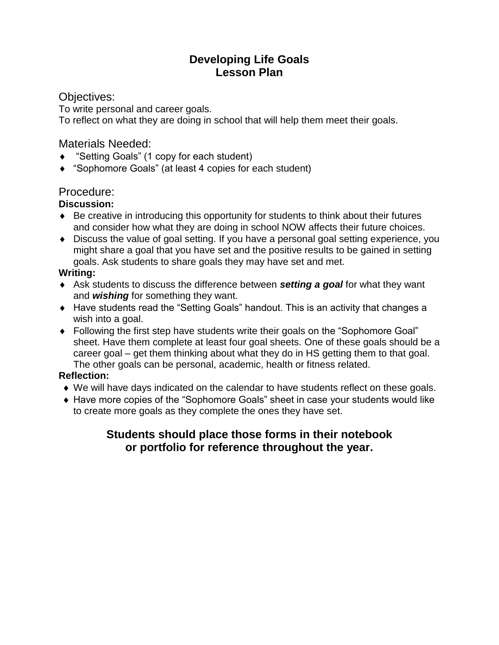### **Developing Life Goals Lesson Plan**

### Objectives:

To write personal and career goals. To reflect on what they are doing in school that will help them meet their goals.

### Materials Needed:

- "Setting Goals" (1 copy for each student)
- "Sophomore Goals" (at least 4 copies for each student)

### Procedure:

### **Discussion:**

- Be creative in introducing this opportunity for students to think about their futures and consider how what they are doing in school NOW affects their future choices.
- Discuss the value of goal setting. If you have a personal goal setting experience, you might share a goal that you have set and the positive results to be gained in setting goals. Ask students to share goals they may have set and met.

### **Writing:**

- Ask students to discuss the difference between *setting a goal* for what they want and *wishing* for something they want.
- ◆ Have students read the "Setting Goals" handout. This is an activity that changes a wish into a goal.
- Following the first step have students write their goals on the "Sophomore Goal" sheet. Have them complete at least four goal sheets. One of these goals should be a career goal – get them thinking about what they do in HS getting them to that goal. The other goals can be personal, academic, health or fitness related.

### **Reflection:**

- We will have days indicated on the calendar to have students reflect on these goals.
- Have more copies of the "Sophomore Goals" sheet in case your students would like to create more goals as they complete the ones they have set.

### **Students should place those forms in their notebook or portfolio for reference throughout the year.**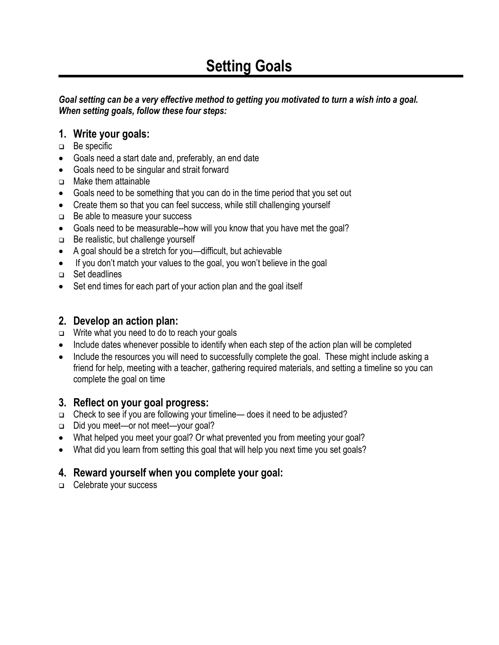## **Setting Goals**

#### *Goal setting can be a very effective method to getting you motivated to turn a wish into a goal. When setting goals, follow these four steps:*

### **1. Write your goals:**

- □ Be specific
- Goals need a start date and, preferably, an end date
- Goals need to be singular and strait forward
- **D** Make them attainable
- Goals need to be something that you can do in the time period that you set out
- Create them so that you can feel success, while still challenging yourself
- $\Box$  Be able to measure your success
- Goals need to be measurable--how will you know that you have met the goal?
- $\Box$  Be realistic, but challenge yourself
- A goal should be a stretch for you—difficult, but achievable
- If you don't match your values to the goal, you won't believe in the goal
- □ Set deadlines
- Set end times for each part of your action plan and the goal itself

### **2. Develop an action plan:**

- $\Box$  Write what you need to do to reach your goals
- Include dates whenever possible to identify when each step of the action plan will be completed
- Include the resources you will need to successfully complete the goal. These might include asking a friend for help, meeting with a teacher, gathering required materials, and setting a timeline so you can complete the goal on time

### **3. Reflect on your goal progress:**

- □ Check to see if you are following your timeline— does it need to be adjusted?
- Did you meet—or not meet—your goal?
- What helped you meet your goal? Or what prevented you from meeting your goal?
- What did you learn from setting this goal that will help you next time you set goals?

### **4. Reward yourself when you complete your goal:**

□ Celebrate your success